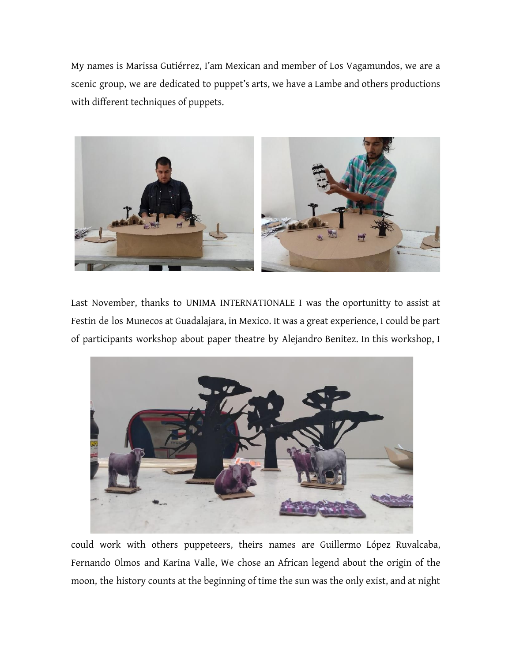My names is Marissa Gutiérrez, I'am Mexican and member of Los Vagamundos, we are a scenic group, we are dedicated to puppet's arts, we have a Lambe and others productions with different techniques of puppets.



Last November, thanks to UNIMA INTERNATIONALE I was the oportunitty to assist at Festin de los Munecos at Guadalajara, in Mexico. It was a great experience, I could be part of participants workshop about paper theatre by Alejandro Benitez. In this workshop, I



could work with others puppeteers, theirs names are Guillermo López Ruvalcaba, Fernando Olmos and Karina Valle, We chose an African legend about the origin of the moon, the history counts at the beginning of time the sun was the only exist, and at night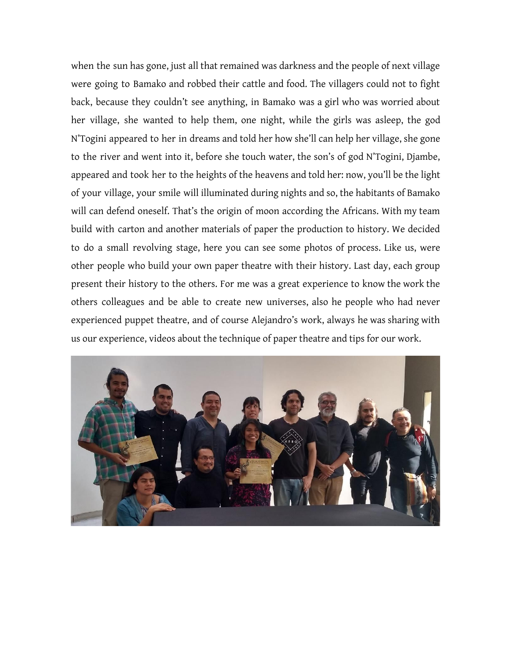when the sun has gone, just all that remained was darkness and the people of next village were going to Bamako and robbed their cattle and food. The villagers could not to fight back, because they couldn't see anything, in Bamako was a girl who was worried about her village, she wanted to help them, one night, while the girls was asleep, the god N'Togini appeared to her in dreams and told her how she'll can help her village, she gone to the river and went into it, before she touch water, the son's of god N'Togini, Djambe, appeared and took her to the heights of the heavens and told her: now, you'll be the light of your village, your smile will illuminated during nights and so, the habitants of Bamako will can defend oneself. That's the origin of moon according the Africans. With my team build with carton and another materials of paper the production to history. We decided to do a small revolving stage, here you can see some photos of process. Like us, were other people who build your own paper theatre with their history. Last day, each group present their history to the others. For me was a great experience to know the work the others colleagues and be able to create new universes, also he people who had never experienced puppet theatre, and of course Alejandro's work, always he was sharing with us our experience, videos about the technique of paper theatre and tips for our work.

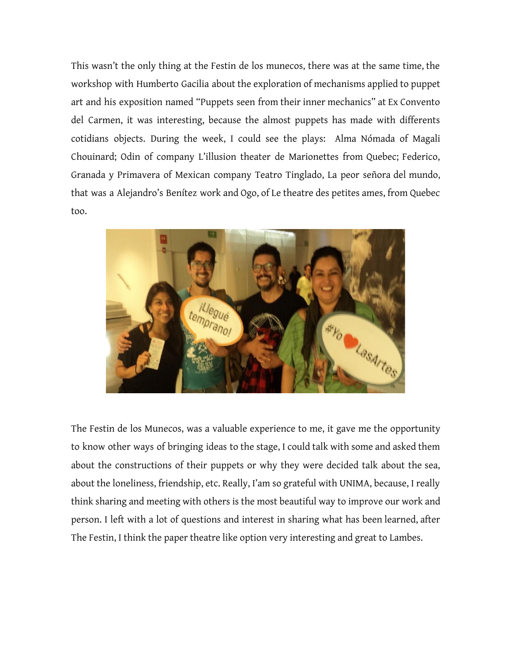This wasn't the only thing at the Festin de los munecos, there was at the same time, the workshop with Humberto Gacilia about the exploration of mechanisms applied to puppet art and his exposition named "Puppets seen from their inner mechanics" at Ex Convento del Carmen, it was interesting, because the almost puppets has made with differents cotidians objects. During the week, I could see the plays: Alma Nómada of Magali Chouinard; Odin of company L'illusion theater de Marionettes from Quebec; Federico, Granada y Primavera of Mexican company Teatro Tinglado, La peor señora del mundo, that was a Alejandro's Benítez work and Ogo, of Le theatre des petites ames, from Quebec too.



The Festin de los Munecos, was a valuable experience to me, it gave me the opportunity to know other ways of bringing ideas to the stage, I could talk with some and asked them about the constructions of their puppets or why they were decided talk about the sea, about the loneliness, friendship, etc. Really, I'am so grateful with UNIMA, because, I really think sharing and meeting with others is the most beautiful way to improve our work and person. I left with a lot of questions and interest in sharing what has been learned, after The Festin, I think the paper theatre like option very interesting and great to Lambes.